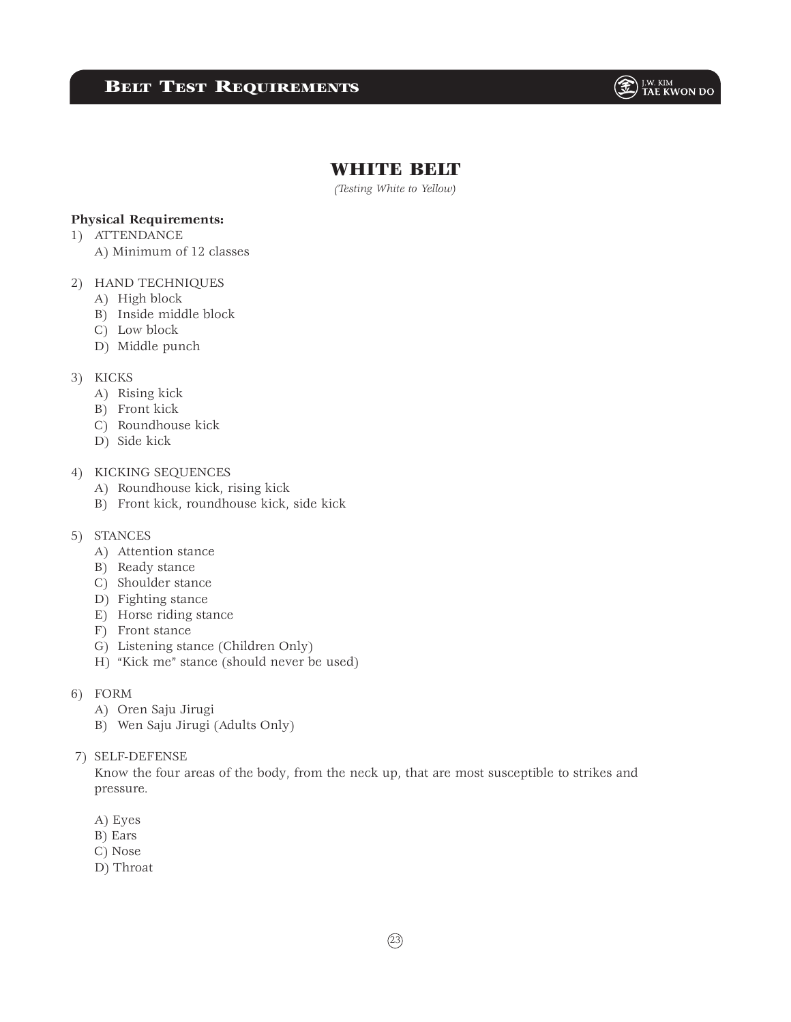# BELT TEST REQUIREMENTS



## WHITE BELT

*(Testing White to Yellow)*

## **Physical Requirements:**

- 1) ATTENDANCE
	- A) Minimum of 12 classes

## 2) HAND TECHNIQUES

- A) High block
- B) Inside middle block
- C) Low block
- D) Middle punch

#### 3) KICKS

- A) Rising kick
- B) Front kick
- C) Roundhouse kick
- D) Side kick

## 4) KICKING SEQUENCES

- A) Roundhouse kick, rising kick
- B) Front kick, roundhouse kick, side kick

### 5) STANCES

- A) Attention stance
- B) Ready stance
- C) Shoulder stance
- D) Fighting stance
- E) Horse riding stance
- F) Front stance
- G) Listening stance (Children Only)
- H) "Kick me" stance (should never be used)
- 6) FORM
	- A) Oren Saju Jirugi
	- B) Wen Saju Jirugi (Adults Only)
- 7) SELF-DEFENSE

 Know the four areas of the body, from the neck up, that are most susceptible to strikes and pressure.

- A) Eyes
- B) Ears
- C) Nose
- D) Throat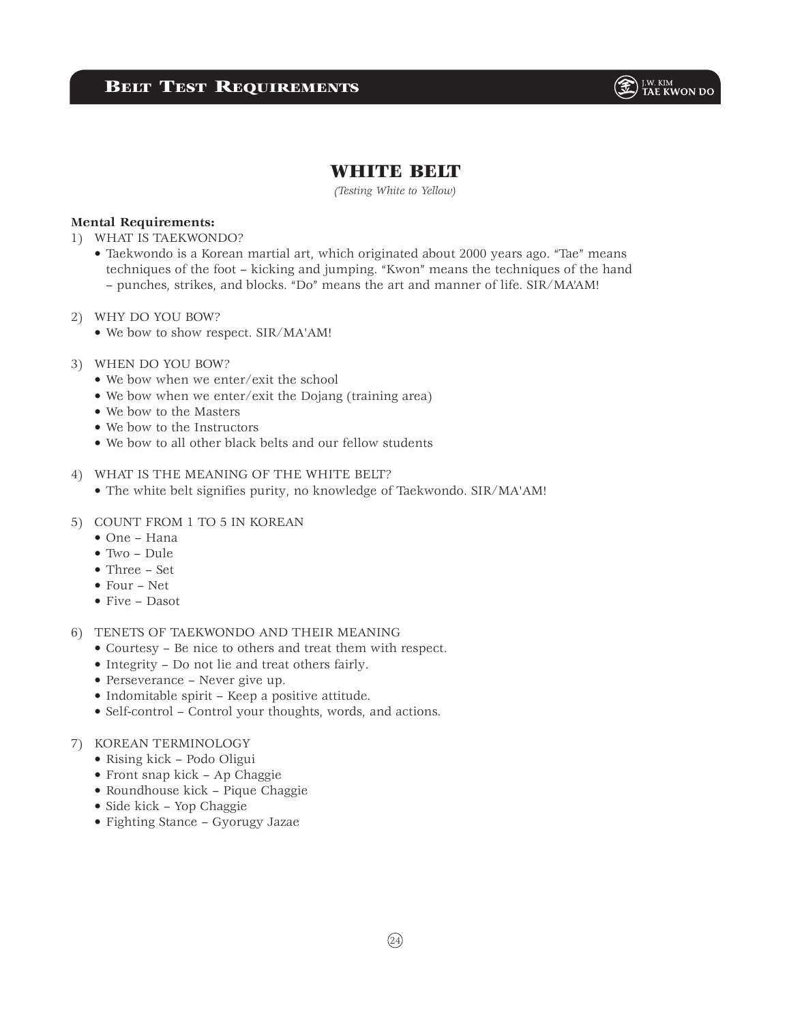

# WHITE BELT

*(Testing White to Yellow)*

### **Mental Requirements:**

- 1) WHAT IS TAEKWONDO?
	- Taekwondo is a Korean martial art, which originated about 2000 years ago. "Tae" means techniques of the foot – kicking and jumping. "Kwon" means the techniques of the hand – punches, strikes, and blocks. "Do" means the art and manner of life. SIR/MA'AM!
- 2) WHY DO YOU BOW?
	- We bow to show respect. SIR/MA'AM!
- 3) WHEN DO YOU BOW?
	- We bow when we enter/exit the school
	- We bow when we enter/exit the Dojang (training area)
	- We bow to the Masters
	- We bow to the Instructors
	- We bow to all other black belts and our fellow students

### 4) WHAT IS THE MEANING OF THE WHITE BELT?

- The white belt signifies purity, no knowledge of Taekwondo. SIR/MA'AM!
- 5) COUNT FROM 1 TO 5 IN KOREAN
	- One Hana
	- Two Dule
	- Three Set
	- Four Net
	- Five Dasot

## 6) TENETS OF TAEKWONDO AND THEIR MEANING

- Courtesy Be nice to others and treat them with respect.
- Integrity Do not lie and treat others fairly.
- Perseverance Never give up.
- Indomitable spirit Keep a positive attitude.
- Self-control Control your thoughts, words, and actions.

#### 7) KOREAN TERMINOLOGY

- Rising kick Podo Oligui
- Front snap kick Ap Chaggie
- Roundhouse kick Pique Chaggie
- Side kick Yop Chaggie
- Fighting Stance Gyorugy Jazae